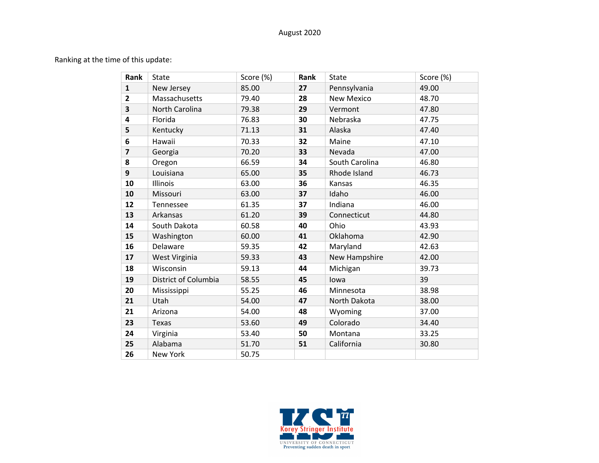## August 2020

Ranking at the time of this update:

| Rank                    | <b>State</b>         | Score (%) | Rank | <b>State</b>      | Score (%) |
|-------------------------|----------------------|-----------|------|-------------------|-----------|
| $\mathbf{1}$            | New Jersey           | 85.00     | 27   | Pennsylvania      | 49.00     |
| $\mathbf{2}$            | Massachusetts        | 79.40     | 28   | <b>New Mexico</b> | 48.70     |
| $\overline{\mathbf{3}}$ | North Carolina       | 79.38     | 29   | Vermont           | 47.80     |
| 4                       | Florida              | 76.83     | 30   | Nebraska          | 47.75     |
| 5                       | Kentucky             | 71.13     | 31   | Alaska            | 47.40     |
| 6                       | Hawaii               | 70.33     | 32   | Maine             | 47.10     |
| $\overline{7}$          | Georgia              | 70.20     | 33   | Nevada            | 47.00     |
| 8                       | Oregon               | 66.59     | 34   | South Carolina    | 46.80     |
| 9                       | Louisiana            | 65.00     | 35   | Rhode Island      | 46.73     |
| 10                      | Illinois             | 63.00     | 36   | Kansas            | 46.35     |
| 10                      | Missouri             | 63.00     | 37   | Idaho             | 46.00     |
| 12                      | Tennessee            | 61.35     | 37   | Indiana           | 46.00     |
| 13                      | Arkansas             | 61.20     | 39   | Connecticut       | 44.80     |
| 14                      | South Dakota         | 60.58     | 40   | Ohio              | 43.93     |
| 15                      | Washington           | 60.00     | 41   | Oklahoma          | 42.90     |
| 16                      | Delaware             | 59.35     | 42   | Maryland          | 42.63     |
| 17                      | West Virginia        | 59.33     | 43   | New Hampshire     | 42.00     |
| 18                      | Wisconsin            | 59.13     | 44   | Michigan          | 39.73     |
| 19                      | District of Columbia | 58.55     | 45   | lowa              | 39        |
| 20                      | Mississippi          | 55.25     | 46   | Minnesota         | 38.98     |
| 21                      | Utah                 | 54.00     | 47   | North Dakota      | 38.00     |
| 21                      | Arizona              | 54.00     | 48   | Wyoming           | 37.00     |
| 23                      | <b>Texas</b>         | 53.60     | 49   | Colorado          | 34.40     |
| 24                      | Virginia             | 53.40     | 50   | Montana           | 33.25     |
| 25                      | Alabama              | 51.70     | 51   | California        | 30.80     |
| 26                      | New York             | 50.75     |      |                   |           |

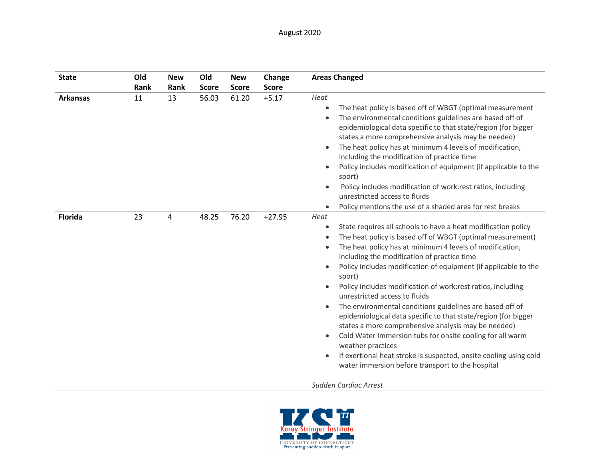| <b>State</b>    | Old<br><b>Rank</b> | <b>New</b><br>Rank | Old<br><b>Score</b> | <b>New</b><br><b>Score</b> | Change<br><b>Score</b> | <b>Areas Changed</b>                                                                                                                                                                                                                                                                                                                                                                                                                                                                                                                                                                                                                                                                                                                                                                                                                                                                                      |
|-----------------|--------------------|--------------------|---------------------|----------------------------|------------------------|-----------------------------------------------------------------------------------------------------------------------------------------------------------------------------------------------------------------------------------------------------------------------------------------------------------------------------------------------------------------------------------------------------------------------------------------------------------------------------------------------------------------------------------------------------------------------------------------------------------------------------------------------------------------------------------------------------------------------------------------------------------------------------------------------------------------------------------------------------------------------------------------------------------|
| <b>Arkansas</b> | 11                 | 13                 | 56.03               | 61.20                      | $+5.17$                | Heat<br>The heat policy is based off of WBGT (optimal measurement<br>$\bullet$<br>The environmental conditions guidelines are based off of<br>$\bullet$<br>epidemiological data specific to that state/region (for bigger<br>states a more comprehensive analysis may be needed)<br>The heat policy has at minimum 4 levels of modification,<br>$\bullet$<br>including the modification of practice time<br>Policy includes modification of equipment (if applicable to the<br>$\bullet$<br>sport)<br>Policy includes modification of work: rest ratios, including<br>$\bullet$<br>unrestricted access to fluids<br>Policy mentions the use of a shaded area for rest breaks                                                                                                                                                                                                                              |
| <b>Florida</b>  | 23                 | 4                  | 48.25               | 76.20                      | $+27.95$               | Heat<br>State requires all schools to have a heat modification policy<br>$\bullet$<br>The heat policy is based off of WBGT (optimal measurement)<br>$\bullet$<br>The heat policy has at minimum 4 levels of modification,<br>$\bullet$<br>including the modification of practice time<br>Policy includes modification of equipment (if applicable to the<br>$\bullet$<br>sport)<br>Policy includes modification of work:rest ratios, including<br>unrestricted access to fluids<br>The environmental conditions guidelines are based off of<br>$\bullet$<br>epidemiological data specific to that state/region (for bigger<br>states a more comprehensive analysis may be needed)<br>Cold Water Immersion tubs for onsite cooling for all warm<br>$\bullet$<br>weather practices<br>If exertional heat stroke is suspected, onsite cooling using cold<br>water immersion before transport to the hospital |
|                 |                    |                    |                     |                            |                        | Sudden Cardiac Arrest                                                                                                                                                                                                                                                                                                                                                                                                                                                                                                                                                                                                                                                                                                                                                                                                                                                                                     |

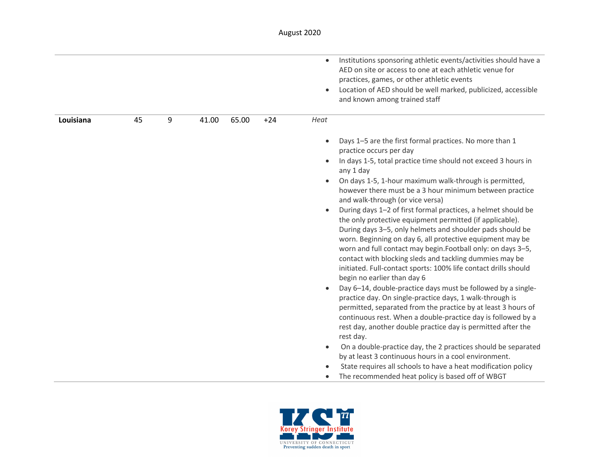|           |    |   |       |       |       | Institutions sponsoring athletic events/activities should have a<br>$\bullet$<br>AED on site or access to one at each athletic venue for<br>practices, games, or other athletic events<br>Location of AED should be well marked, publicized, accessible<br>$\bullet$<br>and known among trained staff                                                                                                                                                                                                                                                                                                                                                                                                                                                                                                                                                                                                                                                                                                                                                                                                                                                                                                                                                                                                                                                                                                                                                                                |
|-----------|----|---|-------|-------|-------|--------------------------------------------------------------------------------------------------------------------------------------------------------------------------------------------------------------------------------------------------------------------------------------------------------------------------------------------------------------------------------------------------------------------------------------------------------------------------------------------------------------------------------------------------------------------------------------------------------------------------------------------------------------------------------------------------------------------------------------------------------------------------------------------------------------------------------------------------------------------------------------------------------------------------------------------------------------------------------------------------------------------------------------------------------------------------------------------------------------------------------------------------------------------------------------------------------------------------------------------------------------------------------------------------------------------------------------------------------------------------------------------------------------------------------------------------------------------------------------|
| Louisiana | 45 | 9 | 41.00 | 65.00 | $+24$ | Heat                                                                                                                                                                                                                                                                                                                                                                                                                                                                                                                                                                                                                                                                                                                                                                                                                                                                                                                                                                                                                                                                                                                                                                                                                                                                                                                                                                                                                                                                                 |
|           |    |   |       |       |       | Days 1-5 are the first formal practices. No more than 1<br>$\bullet$<br>practice occurs per day<br>In days 1-5, total practice time should not exceed 3 hours in<br>$\bullet$<br>any 1 day<br>On days 1-5, 1-hour maximum walk-through is permitted,<br>however there must be a 3 hour minimum between practice<br>and walk-through (or vice versa)<br>During days 1-2 of first formal practices, a helmet should be<br>$\bullet$<br>the only protective equipment permitted (if applicable).<br>During days 3-5, only helmets and shoulder pads should be<br>worn. Beginning on day 6, all protective equipment may be<br>worn and full contact may begin. Football only: on days 3-5,<br>contact with blocking sleds and tackling dummies may be<br>initiated. Full-contact sports: 100% life contact drills should<br>begin no earlier than day 6<br>Day 6-14, double-practice days must be followed by a single-<br>practice day. On single-practice days, 1 walk-through is<br>permitted, separated from the practice by at least 3 hours of<br>continuous rest. When a double-practice day is followed by a<br>rest day, another double practice day is permitted after the<br>rest day.<br>On a double-practice day, the 2 practices should be separated<br>$\bullet$<br>by at least 3 continuous hours in a cool environment.<br>State requires all schools to have a heat modification policy<br>$\bullet$<br>The recommended heat policy is based off of WBGT<br>$\bullet$ |

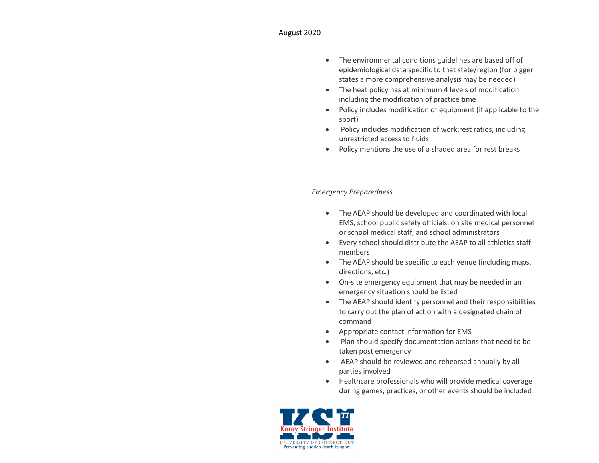- The environmental conditions guidelines are based off of epidemiological data specific to that state/region (for bigger states a more comprehensive analysis may be needed)
- The heat policy has at minimum 4 levels of modification, including the modification of practice time
- Policy includes modification of equipment (if applicable to the sport)
- Policy includes modification of work:rest ratios, including unrestricted access to fluids
- Policy mentions the use of a shaded area for rest breaks

## *Emergency Preparedness*

- The AEAP should be developed and coordinated with local EMS, school public safety officials, on site medical personnel or school medical staff, and school administrators
- Every school should distribute the AEAP to all athletics staff members
- The AEAP should be specific to each venue (including maps, directions, etc.)
- On-site emergency equipment that may be needed in an emergency situation should be listed
- The AEAP should identify personnel and their responsibilities to carry out the plan of action with a designated chain of command
- Appropriate contact information for EMS
- Plan should specify documentation actions that need to be taken post emergency
- AEAP should be reviewed and rehearsed annually by all parties involved
- Healthcare professionals who will provide medical coverage during games, practices, or other events should be included